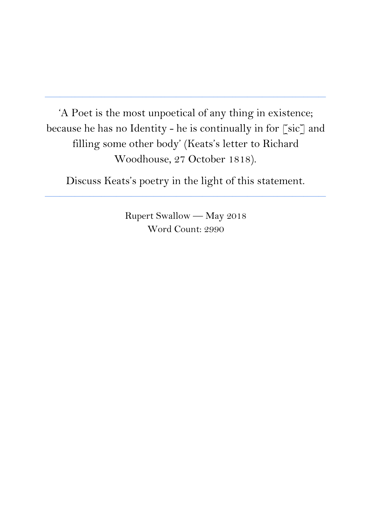'A Poet is the most unpoetical of any thing in existence; because he has no Identity - he is continually in for [sic] and filling some other body' (Keats's letter to Richard Woodhouse, 27 October 1818).

**\_\_\_\_\_\_\_\_\_\_\_\_\_\_\_\_\_\_\_\_\_\_\_\_\_\_\_\_\_\_\_\_\_\_\_\_\_\_\_\_\_\_\_\_\_\_\_\_\_\_\_\_\_\_\_\_\_\_\_\_\_\_\_\_\_\_\_\_\_\_\_\_\_\_\_**

Discuss Keats's poetry in the light of this statement.

**\_\_\_\_\_\_\_\_\_\_\_\_\_\_\_\_\_\_\_\_\_\_\_\_\_\_\_\_\_\_\_\_\_\_\_\_\_\_\_\_\_\_\_\_\_\_\_\_\_\_\_\_\_\_\_\_\_\_\_\_\_\_\_\_\_\_\_\_\_\_\_\_\_\_\_**

Rupert Swallow — May 2018 Word Count: 2990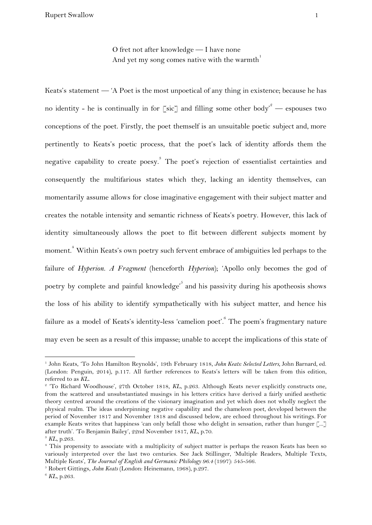O fret not after knowledge — I have none And yet my song comes native with the warmth<sup>1</sup>

Keats's statement — 'A Poet is the most unpoetical of any thing in existence; because he has no identity - he is continually in for [sic] and filling some other body<sup>,2</sup> — espouses two conceptions of the poet. Firstly, the poet themself is an unsuitable poetic subject and, more pertinently to Keats's poetic process, that the poet's lack of identity affords them the negative capability to create poesy.<sup>3</sup> The poet's rejection of essentialist certainties and consequently the multifarious states which they, lacking an identity themselves, can momentarily assume allows for close imaginative engagement with their subject matter and creates the notable intensity and semantic richness of Keats's poetry. However, this lack of identity simultaneously allows the poet to flit between different subjects moment by moment.<sup>4</sup> Within Keats's own poetry such fervent embrace of ambiguities led perhaps to the failure of *Hyperion. A Fragment* (henceforth *Hyperion*); 'Apollo only becomes the god of poetry by complete and painful knowledge<sup>'</sup> and his passivity during his apotheosis shows the loss of his ability to identify sympathetically with his subject matter, and hence his failure as a model of Keats's identity-less 'camelion poet'. $\degree$  The poem's fragmentary nature may even be seen as a result of this impasse; unable to accept the implications of this state of

<sup>1</sup> John Keats, 'To John Hamilton Reynolds', 19th February 1818, *John Keats: Selected Letters*, John Barnard, ed. (London: Penguin, 2014), p.117. All further references to Keats's letters will be taken from this edition, referred to as *KL*.

<sup>&</sup>lt;sup>2</sup> 'To Richard Woodhouse', 27th October 1818, *KL*, p.263. Although Keats never explicitly constructs one, from the scattered and unsubstantiated musings in his letters critics have derived a fairly unified aesthetic theory centred around the creations of the visionary imagination and yet which does not wholly neglect the physical realm. The ideas underpinning negative capability and the chameleon poet, developed between the period of November 1817 and November 1818 and discussed below, are echoed throughout his writings. For example Keats writes that happiness 'can only befall those who delight in sensation, rather than hunger [...] after truth'. 'To Benjamin Bailey', 22nd November 1817, *KL*, p.70.

<sup>3</sup> *KL*, p.263.

<sup>4</sup> This propensity to associate with a multiplicity of subject matter is perhaps the reason Keats has been so variously interpreted over the last two centuries. See Jack Stillinger, 'Multiple Readers, Multiple Texts, Multiple Keats', *The Journal of English and Germanic Philology 96.4* (1997): 545-566.

<sup>5</sup> Robert Gittings, *John Keats* (London: Heinemann, 1968), p.297.

<sup>6</sup> *KL*, p.263.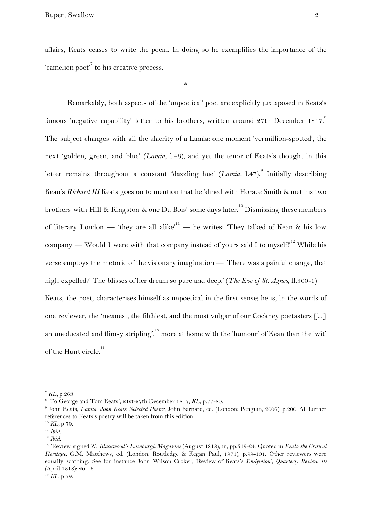affairs, Keats ceases to write the poem. In doing so he exemplifies the importance of the 'camelion poet<sup> $\bar{t}$ </sup> to his creative process.

\*

Remarkably, both aspects of the 'unpoetical' poet are explicitly juxtaposed in Keats's famous 'negative capability' letter to his brothers, written around 27th December 1817. $^{\text{8}}$ The subject changes with all the alacrity of a Lamia; one moment 'vermillion-spotted', the next 'golden, green, and blue' (*Lamia*, l.48), and yet the tenor of Keats's thought in this letter remains throughout a constant 'dazzling hue'  $(Lamia, 1.47)$ <sup>9</sup> Initially describing Kean's *Richard III* Keats goes on to mention that he 'dined with Horace Smith & met his two brothers with Hill & Kingston & one Du Bois' some days later.<sup>10</sup> Dismissing these members of literary London — 'they are all alike'<sup>11</sup> — he writes: 'They talked of Kean & his low company — Would I were with that company instead of yours said I to myself!<sup> $12$ </sup> While his verse employs the rhetoric of the visionary imagination — 'There was a painful change, that nigh expelled/ The blisses of her dream so pure and deep.' (*The Eve of St. Agnes*, ll.300-1) — Keats, the poet, characterises himself as unpoetical in the first sense; he is, in the words of one reviewer, the 'meanest, the filthiest, and the most vulgar of our Cockney poetasters [...] an uneducated and flimsy stripling',<sup>13</sup> more at home with the 'humour' of Kean than the 'wit' of the Hunt circle.<sup>14</sup>

<sup>14</sup> *KL,* p.79.

<sup>7</sup> *KL*, p.263.

<sup>8</sup> 'To George and Tom Keats', 21st-27th December 1817, *KL*, p.77-80.

<sup>9</sup> John Keats, *Lamia*, *John Keats: Selected Poems*, John Barnard, ed. (London: Penguin, 2007), p.200. All further references to Keats's poetry will be taken from this edition.

<sup>10</sup> *KL,* p.79.

<sup>11</sup> *Ibid.*

<sup>12</sup> *Ibid.*

<sup>13</sup> 'Review signed Z', *Blackwood's Edinburgh Magazine* (August 1818), iii, pp.519-24. Quoted in *Keats: the Critical Heritage*, G.M. Matthews, ed. (London: Routledge & Kegan Paul, 1971), p.99-101. Other reviewers were equally scathing. See for instance John Wilson Croker, 'Review of Keats's *Endymion'*, *Quarterly Review 19* (April 1818): 204-8.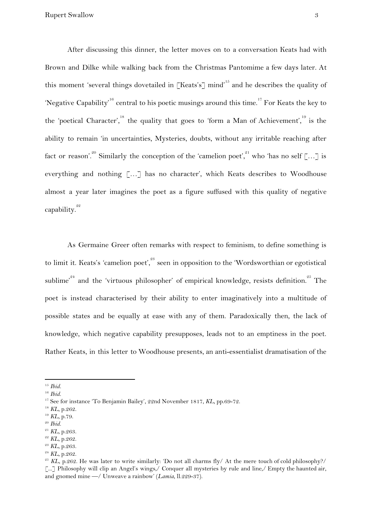After discussing this dinner, the letter moves on to a conversation Keats had with Brown and Dilke while walking back from the Christmas Pantomime a few days later. At this moment 'several things dovetailed in [Keats's] mind'<sup>15</sup> and he describes the quality of 'Negative Capability'<sup>16</sup> central to his poetic musings around this time.<sup>17</sup> For Keats the key to the 'poetical Character', <sup>18</sup> the quality that goes to 'form a Man of Achievement', <sup>19</sup> is the ability to remain 'in uncertainties, Mysteries, doubts, without any irritable reaching after fact or reason'. Similarly the conception of the 'camelion poet', who 'has no self [...] is everything and nothing [...] has no character', which Keats describes to Woodhouse almost a year later imagines the poet as a figure suffused with this quality of negative capability.<sup>22</sup>

As Germaine Greer often remarks with respect to feminism, to define something is to limit it. Keats's 'camelion poet', seen in opposition to the 'Wordsworthian or egotistical sublime<sup>,  $24$ </sup> and the 'virtuous philosopher' of empirical knowledge, resists definition.<sup>25</sup> The poet is instead characterised by their ability to enter imaginatively into a multitude of possible states and be equally at ease with any of them. Paradoxically then, the lack of knowledge, which negative capability presupposes, leads not to an emptiness in the poet. Rather Keats, in this letter to Woodhouse presents, an anti-essentialist dramatisation of the

<sup>20</sup> *Ibid.*

- <sup>22</sup> *KL*, p.262.
- <sup>23</sup> *KL*, p.263.
- <sup>24</sup> *KL*, p.262.

<sup>15</sup> *Ibid.*

<sup>16</sup> *Ibid.*

<sup>&</sup>lt;sup>17</sup> See for instance 'To Benjamin Bailey', 22nd November 1817, *KL*, pp.69-72.

<sup>18</sup> *KL*, p.262.

<sup>19</sup> *KL*, p.79.

<sup>21</sup> *KL*, p.263.

<sup>&</sup>lt;sup>25</sup> KL, p.262. He was later to write similarly: 'Do not all charms fly/ At the mere touch of cold philosophy?' [...] Philosophy will clip an Angel's wings,/ Conquer all mysteries by rule and line,/ Empty the haunted air, and gnomed mine —/ Unweave a rainbow' (*Lamia*, *ll.229-37*).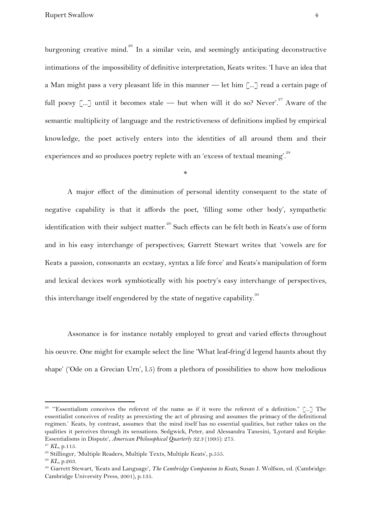burgeoning creative mind.<sup>26</sup> In a similar vein, and seemingly anticipating deconstructive intimations of the impossibility of definitive interpretation, Keats writes: 'I have an idea that a Man might pass a very pleasant life in this manner — let him [...] read a certain page of full poesy  $\left[\dots\right]$  until it becomes stale — but when will it do so? Never'.<sup>27</sup> Aware of the semantic multiplicity of language and the restrictiveness of definitions implied by empirical knowledge, the poet actively enters into the identities of all around them and their experiences and so produces poetry replete with an 'excess of textual meaning'.<sup>28</sup>

\*

A major effect of the diminution of personal identity consequent to the state of negative capability is that it affords the poet, 'filling some other body', sympathetic identification with their subject matter.<sup>29</sup> Such effects can be felt both in Keats's use of form and in his easy interchange of perspectives; Garrett Stewart writes that 'vowels are for Keats a passion, consonants an ecstasy, syntax a life force' and Keats's manipulation of form and lexical devices work symbiotically with his poetry's easy interchange of perspectives, this interchange itself engendered by the state of negative capability.<sup>30</sup>

Assonance is for instance notably employed to great and varied effects throughout his oeuvre. One might for example select the line 'What leaf-fring'd legend haunts about thy shape' ('Ode on a Grecian Urn', l.5) from a plethora of possibilities to show how melodious

<sup>&</sup>lt;sup>26</sup> "Essentialism conceives the referent of the name as if it were the referent of a definition." [...] The essentialist conceives of reality as preexisting the act of phrasing and assumes the primacy of the definitional regimen.' Keats, by contrast, assumes that the mind itself has no essential qualities, but rather takes on the qualities it perceives through its sensations. Sedgwick, Peter, and Alessandra Tanesini, 'Lyotard and Kripke: Essentialisms in Dispute', *American Philosophical Quarterly 32.3* (1995): 275.

<sup>27</sup> *KL*, p.115.

<sup>&</sup>lt;sup>28</sup> Stillinger, 'Multiple Readers, Multiple Texts, Multiple Keats', p.555.

<sup>29</sup> *KL*, p.263.

<sup>30</sup> Garrett Stewart, 'Keats and Language', *The Cambridge Companion to Keats*, Susan J. Wolfson, ed. (Cambridge: Cambridge University Press, 2001), p.135.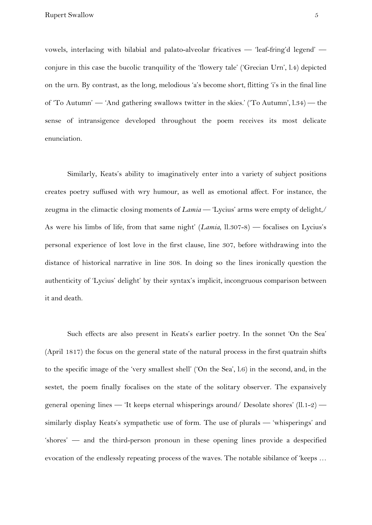vowels, interlacing with bilabial and palato-alveolar fricatives — 'leaf-fring'd legend' conjure in this case the bucolic tranquility of the 'flowery tale' ('Grecian Urn', l.4) depicted on the urn. By contrast, as the long, melodious 'a's become short, flitting 'i's in the final line of 'To Autumn' — 'And gathering swallows twitter in the skies.' ('To Autumn', l.34) — the sense of intransigence developed throughout the poem receives its most delicate enunciation.

Similarly, Keats's ability to imaginatively enter into a variety of subject positions creates poetry suffused with wry humour, as well as emotional affect. For instance, the zeugma in the climactic closing moments of *Lamia* — 'Lycius' arms were empty of delight,/ As were his limbs of life, from that same night' (*Lamia*, ll.307-8) — focalises on Lycius's personal experience of lost love in the first clause, line 307, before withdrawing into the distance of historical narrative in line 308. In doing so the lines ironically question the authenticity of 'Lycius' delight' by their syntax's implicit, incongruous comparison between it and death.

Such effects are also present in Keats's earlier poetry. In the sonnet 'On the Sea' (April 1817) the focus on the general state of the natural process in the first quatrain shifts to the specific image of the 'very smallest shell' ('On the Sea', l.6) in the second, and, in the sestet, the poem finally focalises on the state of the solitary observer. The expansively general opening lines — 'It keeps eternal whisperings around/ Desolate shores'  $(11.1-2)$  similarly display Keats's sympathetic use of form. The use of plurals — 'whisperings' and 'shores' — and the third-person pronoun in these opening lines provide a despecified evocation of the endlessly repeating process of the waves. The notable sibilance of 'keeps …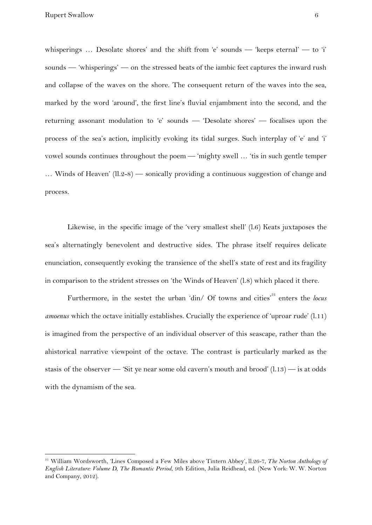whisperings ... Desolate shores' and the shift from 'e' sounds — 'keeps eternal' — to 'i' sounds — 'whisperings' — on the stressed beats of the iambic feet captures the inward rush and collapse of the waves on the shore. The consequent return of the waves into the sea, marked by the word 'around', the first line's fluvial enjambment into the second, and the returning assonant modulation to 'e' sounds — 'Desolate shores' — focalises upon the process of the sea's action, implicitly evoking its tidal surges. Such interplay of 'e' and 'i' vowel sounds continues throughout the poem — 'mighty swell … 'tis in such gentle temper … Winds of Heaven' (ll.2-8) — sonically providing a continuous suggestion of change and process.

Likewise, in the specific image of the 'very smallest shell' (l.6) Keats juxtaposes the sea's alternatingly benevolent and destructive sides. The phrase itself requires delicate enunciation, consequently evoking the transience of the shell's state of rest and its fragility in comparison to the strident stresses on 'the Winds of Heaven' (l.8) which placed it there.

Furthermore, in the sestet the urban 'din/ Of towns and cities'<sup>31</sup> enters the *locus amoenus* which the octave initially establishes. Crucially the experience of 'uproar rude' (l.11) is imagined from the perspective of an individual observer of this seascape, rather than the ahistorical narrative viewpoint of the octave. The contrast is particularly marked as the stasis of the observer — 'Sit ye near some old cavern's mouth and brood'  $(1.13)$  — is at odds with the dynamism of the sea.

<sup>31</sup> William Wordsworth, 'Lines Composed a Few Miles above Tintern Abbey', ll.26-7, *The Norton Anthology of English Literature: Volume D, The Romantic Period*, 9th Edition, Julia Reidhead, ed. (New York: W. W. Norton and Company, 2012).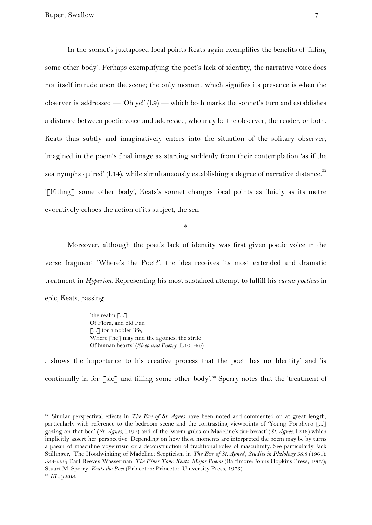In the sonnet's juxtaposed focal points Keats again exemplifies the benefits of 'filling some other body'. Perhaps exemplifying the poet's lack of identity, the narrative voice does not itself intrude upon the scene; the only moment which signifies its presence is when the observer is addressed — 'Oh ye!' (l.9) — which both marks the sonnet's turn and establishes a distance between poetic voice and addressee, who may be the observer, the reader, or both. Keats thus subtly and imaginatively enters into the situation of the solitary observer, imagined in the poem's final image as starting suddenly from their contemplation 'as if the sea nymphs quired' (l.14), while simultaneously establishing a degree of narrative distance.<sup>32</sup> '[Filling] some other body', Keats's sonnet changes focal points as fluidly as its metre evocatively echoes the action of its subject, the sea.

\*

Moreover, although the poet's lack of identity was first given poetic voice in the verse fragment 'Where's the Poet?', the idea receives its most extended and dramatic treatment in *Hyperion*. Representing his most sustained attempt to fulfill his *cursus poeticus* in epic, Keats, passing

> 'the realm [...] Of Flora, and old Pan [...] for a nobler life, Where [he] may find the agonies, the strife Of human hearts' (*Sleep and Poetry*, ll.101-25)

, shows the importance to his creative process that the poet 'has no Identity' and 'is continually in for [sic] and filling some other body'.<sup>33</sup> Sperry notes that the 'treatment of

<sup>32</sup> Similar perspectival effects in *The Eve of St. Agnes* have been noted and commented on at great length, particularly with reference to the bedroom scene and the contrasting viewpoints of 'Young Porphyro [...] gazing on that bed' (*St. Agnes*, l.197) and of the 'warm gules on Madeline's fair breast' (*St. Agnes*, l.218) which implicitly assert her perspective. Depending on how these moments are interpreted the poem may be by turns a paean of masculine voyeurism or a deconstruction of traditional roles of masculinity. See particularly Jack Stillinger, 'The Hoodwinking of Madeline: Scepticism in *The Eve of St. Agne*s', *Studies in Philology 58.3* (1961): 533-555; Earl Reeves Wasserman, *The Finer Tone: Keats' Major Poems* (Baltimore: Johns Hopkins Press, 1967); Stuart M. Sperry, *Keats the Poet* (Princeton: Princeton University Press, 1973).

<sup>33</sup> *KL*, p.263.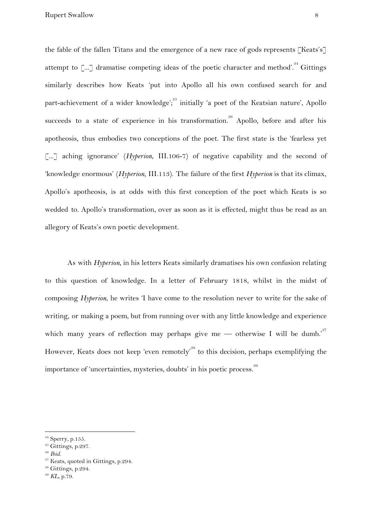the fable of the fallen Titans and the emergence of a new race of gods represents [Keats's] attempt to  $\left[\ldots\right]$  dramatise competing ideas of the poetic character and method'.<sup>34</sup> Gittings similarly describes how Keats 'put into Apollo all his own confused search for and part-achievement of a wider knowledge';  $35$  initially 'a poet of the Keatsian nature', Apollo succeeds to a state of experience in his transformation.<sup>36</sup> Apollo, before and after his apotheosis, thus embodies two conceptions of the poet. The first state is the 'fearless yet [...] aching ignorance' (*Hyperion*, III.106-7) of negative capability and the second of 'knowledge enormous' (*Hyperion*, III.113). The failure of the first *Hyperion* is that its climax, Apollo's apotheosis, is at odds with this first conception of the poet which Keats is so wedded to. Apollo's transformation, over as soon as it is effected, might thus be read as an allegory of Keats's own poetic development.

As with *Hyperion*, in his letters Keats similarly dramatises his own confusion relating to this question of knowledge. In a letter of February 1818, whilst in the midst of composing *Hyperion*, he writes 'I have come to the resolution never to write for the sake of writing, or making a poem, but from running over with any little knowledge and experience which many years of reflection may perhaps give me — otherwise I will be dumb.<sup>37</sup> However, Keats does not keep 'even remotely'<sup>38</sup> to this decision, perhaps exemplifying the importance of 'uncertainties, mysteries, doubts' in his poetic process.<sup>39</sup>

<sup>34</sup> Sperry, p.155.

<sup>35</sup> Gittings, p.297.

<sup>36</sup> *Ibid*.

<sup>&</sup>lt;sup>37</sup> Keats, quoted in Gittings, p.294.

<sup>38</sup> Gittings, p.294.

<sup>39</sup> *KL*, p.79.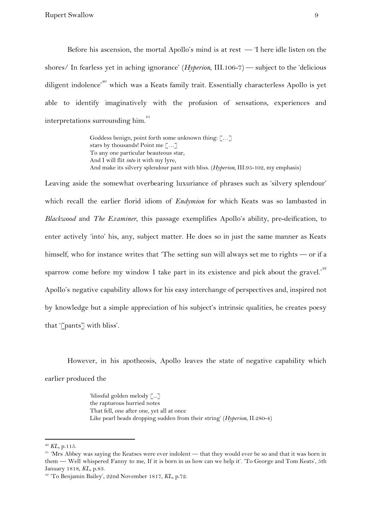Before his ascension, the mortal Apollo's mind is at rest — 'I here idle listen on the shores/ In fearless yet in aching ignorance' (*Hyperion*, III.106-7) — subject to the 'delicious diligent indolence' $^{40}$  which was a Keats family trait. Essentially characterless Apollo is yet able to identify imaginatively with the profusion of sensations, experiences and interpretations surrounding him.<sup>41</sup>

> Goddess benign, point forth some unknown thing: […] stars by thousands! Point me […] To any one particular beauteous star, And I will flit *into* it with my lyre, And make its silvery splendour pant with bliss. (*Hyperion*, III.95-102, my emphasis)

Leaving aside the somewhat overbearing luxuriance of phrases such as 'silvery splendour' which recall the earlier florid idiom of *Endymion* for which Keats was so lambasted in *Blackwood* and *The Examiner*, this passage exemplifies Apollo's ability, pre-deification, to enter actively 'into' his, any, subject matter. He does so in just the same manner as Keats himself, who for instance writes that 'The setting sun will always set me to rights — or if a sparrow come before my window I take part in its existence and pick about the gravel.<sup> $42$ </sup> Apollo's negative capability allows for his easy interchange of perspectives and, inspired not by knowledge but a simple appreciation of his subject's intrinsic qualities, he creates poesy that '[pants] with bliss'.

However, in his apotheosis, Apollo leaves the state of negative capability which earlier produced the

> 'blissful golden melody [...] the rapturous hurried notes That fell, one after one, yet all at once Like pearl beads dropping sudden from their string' (*Hyperion*, II.280-4)

<sup>40</sup> *KL*, p.115.

<sup>&</sup>lt;sup>41</sup> 'Mrs Abbey was saying the Keatses were ever indolent — that they would ever be so and that it was born in them — Well whispered Fanny to me, If it is born in us how can we help it'. 'To George and Tom Keats', 5th January 1818, *KL*, p.83.

<sup>42</sup> 'To Benjamin Bailey', 22nd November 1817, *KL*, p.72.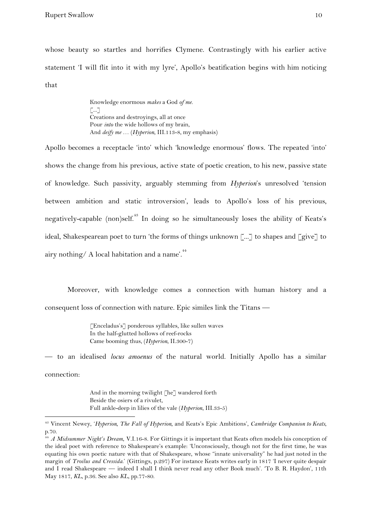whose beauty so startles and horrifies Clymene. Contrastingly with his earlier active statement 'I will flit into it with my lyre', Apollo's beatification begins with him noticing that

> Knowledge enormous *makes* a God *of me*. [...] Creations and destroyings, all at once Pour *into* the wide hollows of my brain, And *deify me* … (*Hyperion*, III.113-8, my emphasis)

Apollo becomes a receptacle 'into' which 'knowledge enormous' flows. The repeated 'into' shows the change from his previous, active state of poetic creation, to his new, passive state of knowledge. Such passivity, arguably stemming from *Hyperion*'s unresolved 'tension between ambition and static introversion', leads to Apollo's loss of his previous, negatively-capable (non)self.<sup>43</sup> In doing so he simultaneously loses the ability of Keats's ideal, Shakespearean poet to turn 'the forms of things unknown [...] to shapes and [give] to airy nothing/ A local habitation and a name'.<sup>44</sup>

Moreover, with knowledge comes a connection with human history and a consequent loss of connection with nature. Epic similes link the Titans —

> [Enceladus's] ponderous syllables, like sullen waves In the half-glutted hollows of reef-rocks Came booming thus, (*Hyperion*, II.300-7)

— to an idealised *locus amoenus* of the natural world. Initially Apollo has a similar connection:

> And in the morning twilight [he] wandered forth Beside the osiers of a rivulet, Full ankle-deep in lilies of the vale (*Hyperion*, III.33-5)

<sup>43</sup> Vincent Newey, '*Hyperion, The Fall of Hyperion,* and Keats's Epic Ambitions', *Cambridge Companion to Keats*, p.70.

<sup>44</sup> *A Midsummer Night's Dream*, V.I.16-8. For Gittings it is important that Keats often models his conception of the ideal poet with reference to Shakespeare's example: 'Unconsciously, though not for the first time, he was equating his own poetic nature with that of Shakespeare, whose "innate universality" he had just noted in the margin of *Troilus and Cressida*.' (Gittings, p.297) For instance Keats writes early in 1817 'I never quite despair and I read Shakespeare — indeed I shall I think never read any other Book much'. 'To B. R. Haydon', 11th May 1817, *KL*, p.36. See also *KL*, pp.77-80.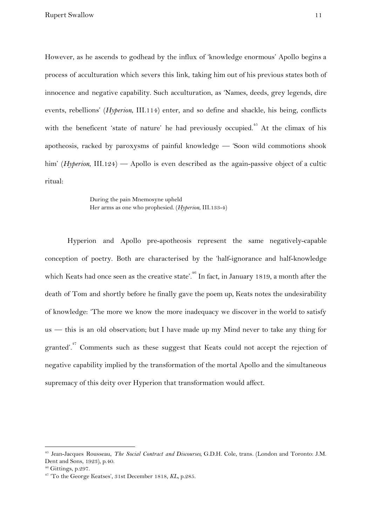However, as he ascends to godhead by the influx of 'knowledge enormous' Apollo begins a process of acculturation which severs this link, taking him out of his previous states both of innocence and negative capability. Such acculturation, as 'Names, deeds, grey legends, dire events, rebellions' (*Hyperion*, III.114) enter, and so define and shackle, his being, conflicts with the beneficent 'state of nature' he had previously occupied.<sup> $45$ </sup> At the climax of his apotheosis, racked by paroxysms of painful knowledge — 'Soon wild commotions shook him' (*Hyperion*, III.124) — Apollo is even described as the again-passive object of a cultic ritual:

> During the pain Mnemosyne upheld Her arms as one who prophesied. (*Hyperion*, III.133-4)

Hyperion and Apollo pre-apotheosis represent the same negatively-capable conception of poetry. Both are characterised by the 'half-ignorance and half-knowledge which Keats had once seen as the creative state'.<sup>46</sup> In fact, in January 1819, a month after the death of Tom and shortly before he finally gave the poem up, Keats notes the undesirability of knowledge: 'The more we know the more inadequacy we discover in the world to satisfy us — this is an old observation; but I have made up my Mind never to take any thing for granted'.<sup> $47$ </sup> Comments such as these suggest that Keats could not accept the rejection of negative capability implied by the transformation of the mortal Apollo and the simultaneous supremacy of this deity over Hyperion that transformation would affect.

<sup>45</sup> Jean-Jacques Rousseau, *The Social Contract and Discourses,* G.D.H. Cole, trans. (London and Toronto: J.M. Dent and Sons, 1923), p.40.

 $46$  Gittings, p.297.

<sup>47</sup> 'To the George Keatses', 31st December 1818, *KL,* p.285.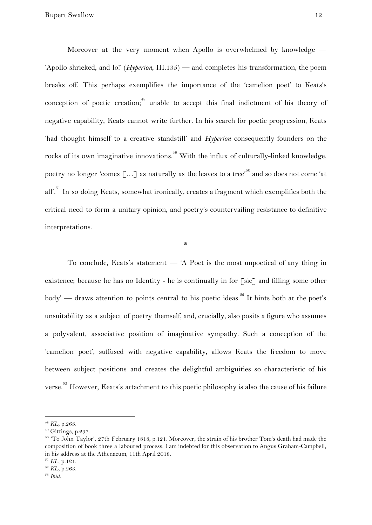Moreover at the very moment when Apollo is overwhelmed by knowledge — 'Apollo shrieked, and lo!' (*Hyperion*, III.135) — and completes his transformation, the poem breaks off. This perhaps exemplifies the importance of the 'camelion poet' to Keats's conception of poetic creation;  $48$  unable to accept this final indictment of his theory of negative capability, Keats cannot write further. In his search for poetic progression, Keats 'had thought himself to a creative standstill' and *Hyperion* consequently founders on the rocks of its own imaginative innovations.<sup>49</sup> With the influx of culturally-linked knowledge, poetry no longer 'comes  $\lceil ... \rceil$  as naturally as the leaves to a tree'<sup>50</sup> and so does not come 'at all'.<sup>51</sup> In so doing Keats, somewhat ironically, creates a fragment which exemplifies both the critical need to form a unitary opinion, and poetry's countervailing resistance to definitive interpretations.

\*

To conclude, Keats's statement — 'A Poet is the most unpoetical of any thing in existence; because he has no Identity - he is continually in for [sic] and filling some other body' — draws attention to points central to his poetic ideas.<sup>52</sup> It hints both at the poet's unsuitability as a subject of poetry themself, and, crucially, also posits a figure who assumes a polyvalent, associative position of imaginative sympathy. Such a conception of the 'camelion poet', suffused with negative capability, allows Keats the freedom to move between subject positions and creates the delightful ambiguities so characteristic of his verse.<sup>53</sup> However, Keats's attachment to this poetic philosophy is also the cause of his failure

<sup>51</sup> *KL*, p.121.

<sup>48</sup> *KL*, p.263.

<sup>49</sup> Gittings, p.297.

<sup>50</sup> 'To John Taylor', 27th February 1818, p.121. Moreover, the strain of his brother Tom's death had made the composition of book three a laboured process. I am indebted for this observation to Angus Graham-Campbell, in his address at the Athenaeum, 11th April 2018.

<sup>52</sup> *KL*, p.263.

<sup>53</sup> *Ibid.*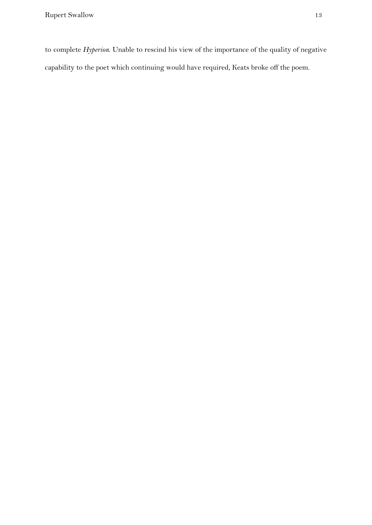to complete *Hyperion*. Unable to rescind his view of the importance of the quality of negative capability to the poet which continuing would have required, Keats broke off the poem.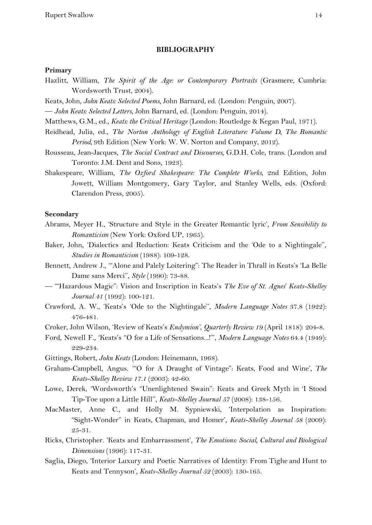## **BIBLIOGRAPHY**

## **Primary**

- Hazlitt, William, *The Spirit of the Age: or Contemporary Portraits* (Grasmere, Cumbria: Wordsworth Trust, 2004).
- Keats, John, *John Keats: Selected Poems*, John Barnard, ed. (London: Penguin, 2007).

— *John Keats: Selected Letters*, John Barnard, ed. (London: Penguin, 2014).

- Matthews, G.M., ed., *Keats: the Critical Heritage* (London: Routledge & Kegan Paul, 1971).
- Reidhead, Julia, ed., *The Norton Anthology of English Literature: Volume D, The Romantic Period,* 9th Edition (New York: W. W. Norton and Company, 2012).
- Rousseau, Jean-Jacques, *The Social Contract and Discourses,* G.D.H. Cole, trans. (London and Toronto: J.M. Dent and Sons, 1923).
- Shakespeare, William, *The Oxford Shakespeare: The Complete Works*, 2nd Edition, John Jowett, William Montgomery, Gary Taylor, and Stanley Wells, eds. (Oxford: Clarendon Press, 2005).

## **Secondary**

- Abrams, Meyer H., 'Structure and Style in the Greater Romantic lyric', *From Sensibility to Romanticism* (New York: Oxford UP, 1965).
- Baker, John, 'Dialectics and Reduction: Keats Criticism and the 'Ode to a Nightingale'', *Studies in Romanticism* (1988): 109-128.
- Bennett, Andrew J., '"Alone and Palely Loitering": The Reader in Thrall in Keats's 'La Belle Dame sans Merci'', *Style* (1990): 73-88.
- '"Hazardous Magic": Vision and Inscription in Keats's *The Eve of St. Agnes*' *Keats-Shelley Journal 41* (1992): 100-121.
- Crawford, A. W., 'Keats's 'Ode to the Nightingale'', *Modern Language Notes* 37.8 (1922): 476-481.
- Croker, John Wilson, 'Review of Keats's *Endymion'*, *Quarterly Review 19* (April 1818): 204-8.
- Ford, Newell F., 'Keats's "O for a Life of Sensations...!"', *Modern Language Notes* 64.4 (1949): 229-234.
- Gittings, Robert, *John Keats* (London: Heinemann, 1968).
- Graham-Campbell, Angus. '"O for A Draught of Vintage": Keats, Food and Wine', *The Keats-Shelley Review 17.1* (2003): 42-60.
- Lowe, Derek, 'Wordsworth's "Unenlightened Swain": Keats and Greek Myth in 'I Stood Tip-Toe upon a Little Hill'', *Keats-Shelley Journal 57* (2008): 138-156.
- MacMaster, Anne C., and Holly M. Sypniewski, 'Interpolation as Inspiration: "Sight-Wonder" in Keats, Chapman, and Homer', *Keats-Shelley Journal 58* (2009): 25-31.
- Ricks, Christopher. 'Keats and Embarrassment', *The Emotions: Social, Cultural and Biological Dimensions* (1996): 117-31.
- Saglia, Diego, 'Interior Luxury and Poetic Narratives of Identity: From Tighe and Hunt to Keats and Tennyson', *Keats-Shelley Journal 52* (2003): 130-165.